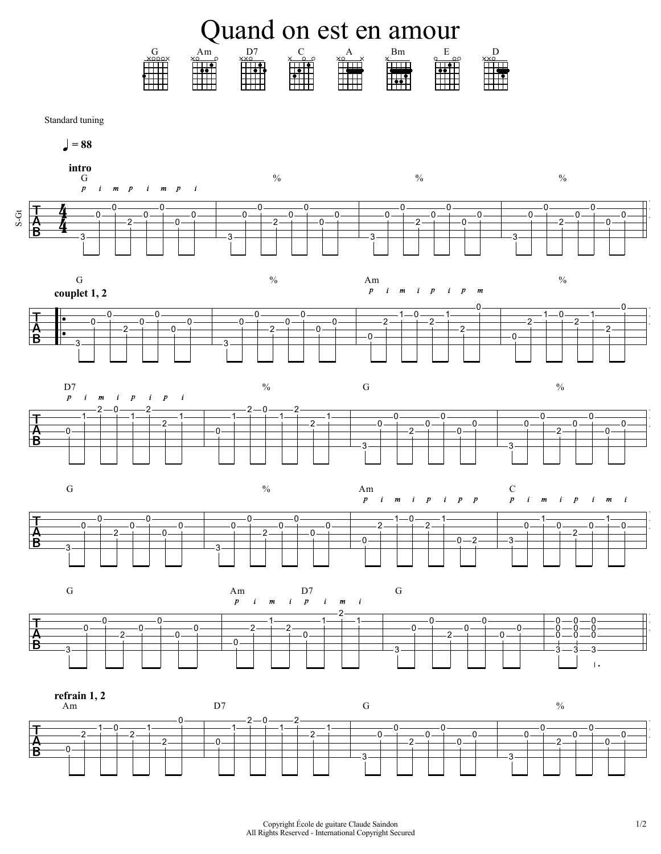